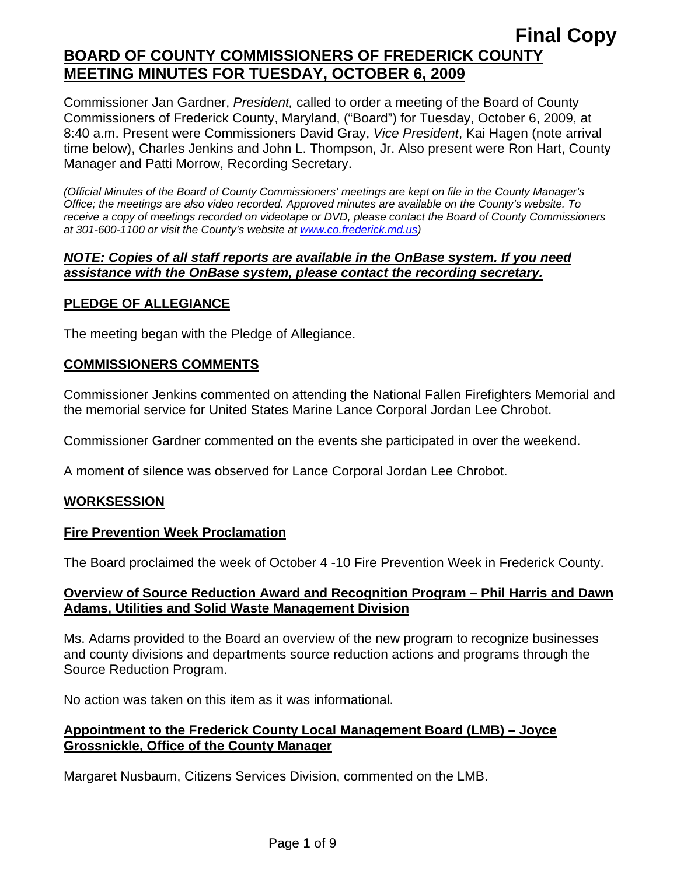Commissioner Jan Gardner, *President,* called to order a meeting of the Board of County Commissioners of Frederick County, Maryland, ("Board") for Tuesday, October 6, 2009, at 8:40 a.m. Present were Commissioners David Gray, *Vice President*, Kai Hagen (note arrival time below), Charles Jenkins and John L. Thompson, Jr. Also present were Ron Hart, County Manager and Patti Morrow, Recording Secretary.

*(Official Minutes of the Board of County Commissioners' meetings are kept on file in the County Manager's Office; the meetings are also video recorded. Approved minutes are available on the County's website. To receive a copy of meetings recorded on videotape or DVD, please contact the Board of County Commissioners at 301-600-1100 or visit the County's website at [www.co.frederick.md.us\)](http://www.co.frederick.md.us/)* 

### *NOTE: Copies of all staff reports are available in the OnBase system. If you need assistance with the OnBase system, please contact the recording secretary.*

## **PLEDGE OF ALLEGIANCE**

The meeting began with the Pledge of Allegiance.

## **COMMISSIONERS COMMENTS**

Commissioner Jenkins commented on attending the National Fallen Firefighters Memorial and the memorial service for United States Marine Lance Corporal Jordan Lee Chrobot.

Commissioner Gardner commented on the events she participated in over the weekend.

A moment of silence was observed for Lance Corporal Jordan Lee Chrobot.

#### **WORKSESSION**

#### **Fire Prevention Week Proclamation**

The Board proclaimed the week of October 4 -10 Fire Prevention Week in Frederick County.

### **Overview of Source Reduction Award and Recognition Program – Phil Harris and Dawn Adams, Utilities and Solid Waste Management Division**

Ms. Adams provided to the Board an overview of the new program to recognize businesses and county divisions and departments source reduction actions and programs through the Source Reduction Program.

No action was taken on this item as it was informational.

### **Appointment to the Frederick County Local Management Board (LMB) – Joyce Grossnickle, Office of the County Manager**

Margaret Nusbaum, Citizens Services Division, commented on the LMB.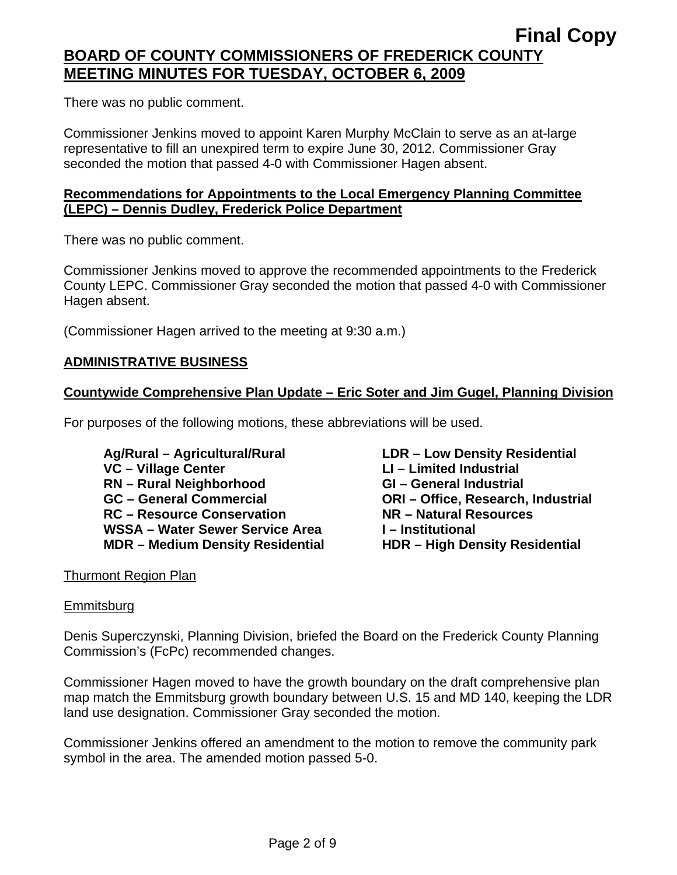There was no public comment.

Commissioner Jenkins moved to appoint Karen Murphy McClain to serve as an at-large representative to fill an unexpired term to expire June 30, 2012. Commissioner Gray seconded the motion that passed 4-0 with Commissioner Hagen absent.

### **Recommendations for Appointments to the Local Emergency Planning Committee (LEPC) – Dennis Dudley, Frederick Police Department**

There was no public comment.

Commissioner Jenkins moved to approve the recommended appointments to the Frederick County LEPC. Commissioner Gray seconded the motion that passed 4-0 with Commissioner Hagen absent.

(Commissioner Hagen arrived to the meeting at 9:30 a.m.)

### **ADMINISTRATIVE BUSINESS**

## **Countywide Comprehensive Plan Update – Eric Soter and Jim Gugel, Planning Division**

For purposes of the following motions, these abbreviations will be used.

 **Ag/Rural – Agricultural/Rural LDR – Low Density Residential**  VC – Village Center **LI** – Limited Industrial **RN – Rural Neighborhood GI – General Industrial GC – General Commercial ORI – Office, Research, Industrial RC – Resource Conservation NR – Natural Resources**  WSSA – Water Sewer Service Area **I** – Institutional **MDR – Medium Density Residential HDR – High Density Residential** 

## Thurmont Region Plan

#### Emmitsburg

Denis Superczynski, Planning Division, briefed the Board on the Frederick County Planning Commission's (FcPc) recommended changes.

Commissioner Hagen moved to have the growth boundary on the draft comprehensive plan map match the Emmitsburg growth boundary between U.S. 15 and MD 140, keeping the LDR land use designation. Commissioner Gray seconded the motion.

Commissioner Jenkins offered an amendment to the motion to remove the community park symbol in the area. The amended motion passed 5-0.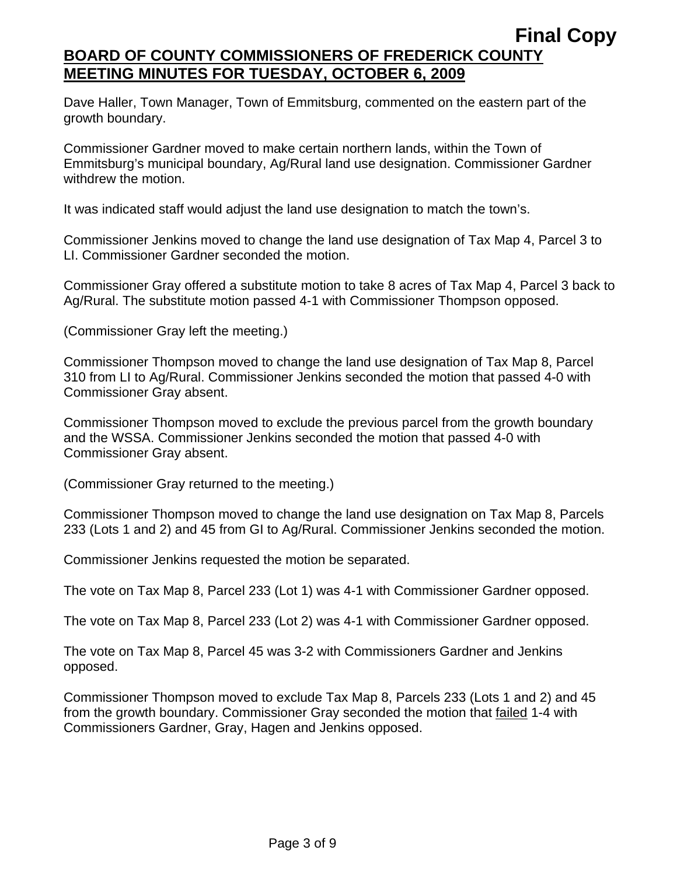Dave Haller, Town Manager, Town of Emmitsburg, commented on the eastern part of the growth boundary.

Commissioner Gardner moved to make certain northern lands, within the Town of Emmitsburg's municipal boundary, Ag/Rural land use designation. Commissioner Gardner withdrew the motion.

It was indicated staff would adjust the land use designation to match the town's.

Commissioner Jenkins moved to change the land use designation of Tax Map 4, Parcel 3 to LI. Commissioner Gardner seconded the motion.

Commissioner Gray offered a substitute motion to take 8 acres of Tax Map 4, Parcel 3 back to Ag/Rural. The substitute motion passed 4-1 with Commissioner Thompson opposed.

(Commissioner Gray left the meeting.)

Commissioner Thompson moved to change the land use designation of Tax Map 8, Parcel 310 from LI to Ag/Rural. Commissioner Jenkins seconded the motion that passed 4-0 with Commissioner Gray absent.

Commissioner Thompson moved to exclude the previous parcel from the growth boundary and the WSSA. Commissioner Jenkins seconded the motion that passed 4-0 with Commissioner Gray absent.

(Commissioner Gray returned to the meeting.)

Commissioner Thompson moved to change the land use designation on Tax Map 8, Parcels 233 (Lots 1 and 2) and 45 from GI to Ag/Rural. Commissioner Jenkins seconded the motion.

Commissioner Jenkins requested the motion be separated.

The vote on Tax Map 8, Parcel 233 (Lot 1) was 4-1 with Commissioner Gardner opposed.

The vote on Tax Map 8, Parcel 233 (Lot 2) was 4-1 with Commissioner Gardner opposed.

The vote on Tax Map 8, Parcel 45 was 3-2 with Commissioners Gardner and Jenkins opposed.

Commissioner Thompson moved to exclude Tax Map 8, Parcels 233 (Lots 1 and 2) and 45 from the growth boundary. Commissioner Gray seconded the motion that failed 1-4 with Commissioners Gardner, Gray, Hagen and Jenkins opposed.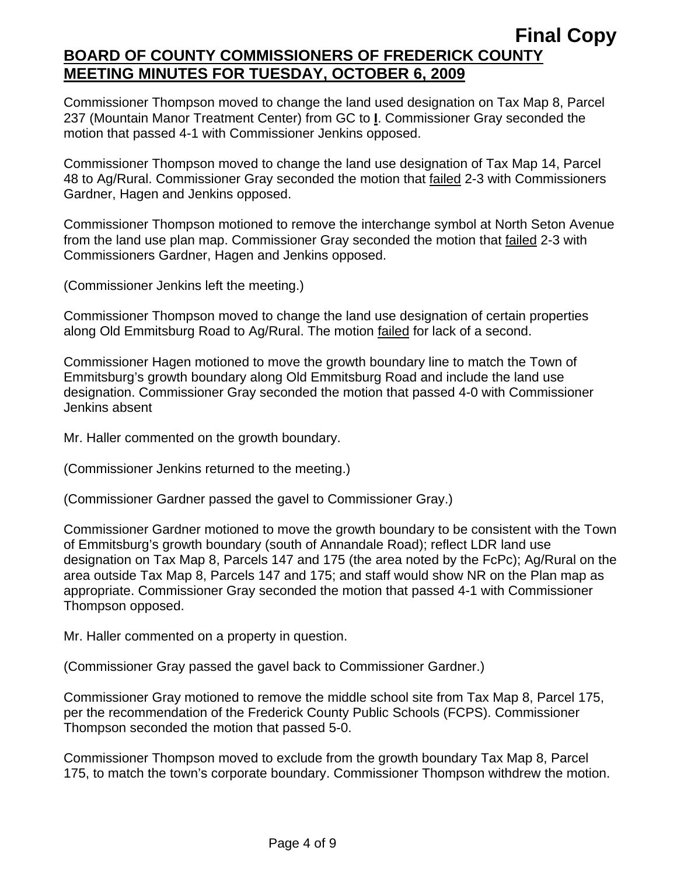Commissioner Thompson moved to change the land used designation on Tax Map 8, Parcel 237 (Mountain Manor Treatment Center) from GC to **I**. Commissioner Gray seconded the motion that passed 4-1 with Commissioner Jenkins opposed.

Commissioner Thompson moved to change the land use designation of Tax Map 14, Parcel 48 to Ag/Rural. Commissioner Gray seconded the motion that failed 2-3 with Commissioners Gardner, Hagen and Jenkins opposed.

Commissioner Thompson motioned to remove the interchange symbol at North Seton Avenue from the land use plan map. Commissioner Gray seconded the motion that failed 2-3 with Commissioners Gardner, Hagen and Jenkins opposed.

(Commissioner Jenkins left the meeting.)

Commissioner Thompson moved to change the land use designation of certain properties along Old Emmitsburg Road to Ag/Rural. The motion failed for lack of a second.

Commissioner Hagen motioned to move the growth boundary line to match the Town of Emmitsburg's growth boundary along Old Emmitsburg Road and include the land use designation. Commissioner Gray seconded the motion that passed 4-0 with Commissioner Jenkins absent

Mr. Haller commented on the growth boundary.

(Commissioner Jenkins returned to the meeting.)

(Commissioner Gardner passed the gavel to Commissioner Gray.)

Commissioner Gardner motioned to move the growth boundary to be consistent with the Town of Emmitsburg's growth boundary (south of Annandale Road); reflect LDR land use designation on Tax Map 8, Parcels 147 and 175 (the area noted by the FcPc); Ag/Rural on the area outside Tax Map 8, Parcels 147 and 175; and staff would show NR on the Plan map as appropriate. Commissioner Gray seconded the motion that passed 4-1 with Commissioner Thompson opposed.

Mr. Haller commented on a property in question.

(Commissioner Gray passed the gavel back to Commissioner Gardner.)

Commissioner Gray motioned to remove the middle school site from Tax Map 8, Parcel 175, per the recommendation of the Frederick County Public Schools (FCPS). Commissioner Thompson seconded the motion that passed 5-0.

Commissioner Thompson moved to exclude from the growth boundary Tax Map 8, Parcel 175, to match the town's corporate boundary. Commissioner Thompson withdrew the motion.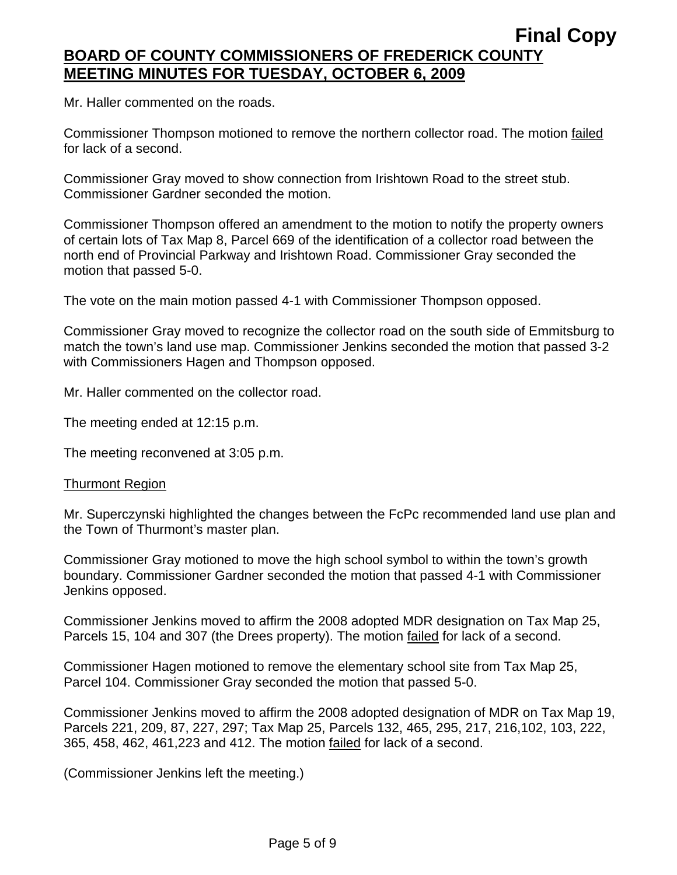Mr. Haller commented on the roads.

Commissioner Thompson motioned to remove the northern collector road. The motion failed for lack of a second.

Commissioner Gray moved to show connection from Irishtown Road to the street stub. Commissioner Gardner seconded the motion.

Commissioner Thompson offered an amendment to the motion to notify the property owners of certain lots of Tax Map 8, Parcel 669 of the identification of a collector road between the north end of Provincial Parkway and Irishtown Road. Commissioner Gray seconded the motion that passed 5-0.

The vote on the main motion passed 4-1 with Commissioner Thompson opposed.

Commissioner Gray moved to recognize the collector road on the south side of Emmitsburg to match the town's land use map. Commissioner Jenkins seconded the motion that passed 3-2 with Commissioners Hagen and Thompson opposed.

Mr. Haller commented on the collector road.

The meeting ended at 12:15 p.m.

The meeting reconvened at 3:05 p.m.

#### Thurmont Region

Mr. Superczynski highlighted the changes between the FcPc recommended land use plan and the Town of Thurmont's master plan.

Commissioner Gray motioned to move the high school symbol to within the town's growth boundary. Commissioner Gardner seconded the motion that passed 4-1 with Commissioner Jenkins opposed.

Commissioner Jenkins moved to affirm the 2008 adopted MDR designation on Tax Map 25, Parcels 15, 104 and 307 (the Drees property). The motion failed for lack of a second.

Commissioner Hagen motioned to remove the elementary school site from Tax Map 25, Parcel 104. Commissioner Gray seconded the motion that passed 5-0.

Commissioner Jenkins moved to affirm the 2008 adopted designation of MDR on Tax Map 19, Parcels 221, 209, 87, 227, 297; Tax Map 25, Parcels 132, 465, 295, 217, 216,102, 103, 222, 365, 458, 462, 461,223 and 412. The motion failed for lack of a second.

(Commissioner Jenkins left the meeting.)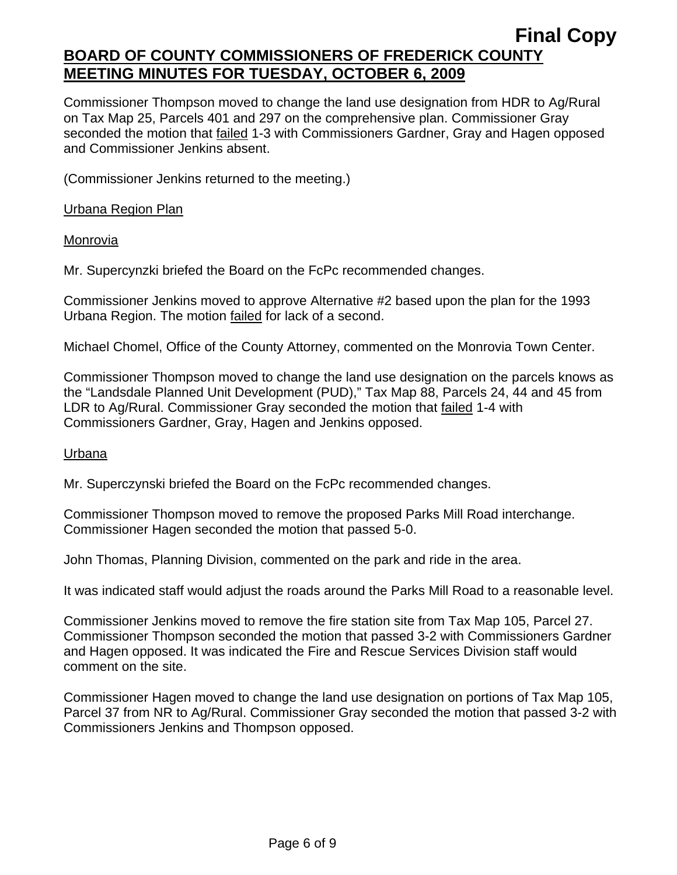Commissioner Thompson moved to change the land use designation from HDR to Ag/Rural on Tax Map 25, Parcels 401 and 297 on the comprehensive plan. Commissioner Gray seconded the motion that failed 1-3 with Commissioners Gardner, Gray and Hagen opposed and Commissioner Jenkins absent.

(Commissioner Jenkins returned to the meeting.)

Urbana Region Plan

Monrovia

Mr. Supercynzki briefed the Board on the FcPc recommended changes.

Commissioner Jenkins moved to approve Alternative #2 based upon the plan for the 1993 Urbana Region. The motion failed for lack of a second.

Michael Chomel, Office of the County Attorney, commented on the Monrovia Town Center.

Commissioner Thompson moved to change the land use designation on the parcels knows as the "Landsdale Planned Unit Development (PUD)," Tax Map 88, Parcels 24, 44 and 45 from LDR to Ag/Rural. Commissioner Gray seconded the motion that failed 1-4 with Commissioners Gardner, Gray, Hagen and Jenkins opposed.

#### Urbana

Mr. Superczynski briefed the Board on the FcPc recommended changes.

Commissioner Thompson moved to remove the proposed Parks Mill Road interchange. Commissioner Hagen seconded the motion that passed 5-0.

John Thomas, Planning Division, commented on the park and ride in the area.

It was indicated staff would adjust the roads around the Parks Mill Road to a reasonable level.

Commissioner Jenkins moved to remove the fire station site from Tax Map 105, Parcel 27. Commissioner Thompson seconded the motion that passed 3-2 with Commissioners Gardner and Hagen opposed. It was indicated the Fire and Rescue Services Division staff would comment on the site.

Commissioner Hagen moved to change the land use designation on portions of Tax Map 105, Parcel 37 from NR to Ag/Rural. Commissioner Gray seconded the motion that passed 3-2 with Commissioners Jenkins and Thompson opposed.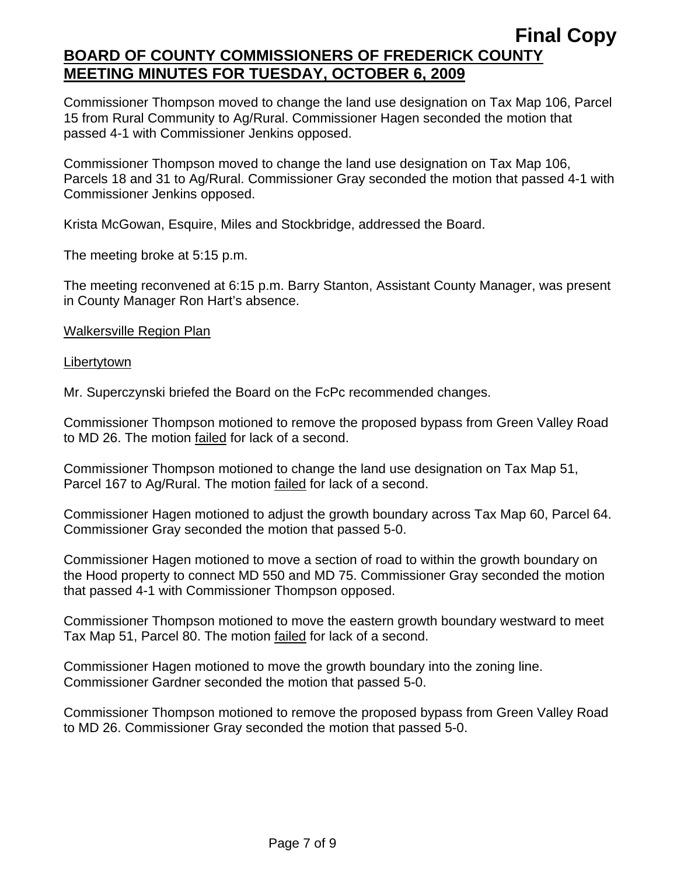Commissioner Thompson moved to change the land use designation on Tax Map 106, Parcel 15 from Rural Community to Ag/Rural. Commissioner Hagen seconded the motion that passed 4-1 with Commissioner Jenkins opposed.

Commissioner Thompson moved to change the land use designation on Tax Map 106, Parcels 18 and 31 to Ag/Rural. Commissioner Gray seconded the motion that passed 4-1 with Commissioner Jenkins opposed.

Krista McGowan, Esquire, Miles and Stockbridge, addressed the Board.

The meeting broke at 5:15 p.m.

The meeting reconvened at 6:15 p.m. Barry Stanton, Assistant County Manager, was present in County Manager Ron Hart's absence.

Walkersville Region Plan

Libertytown

Mr. Superczynski briefed the Board on the FcPc recommended changes.

Commissioner Thompson motioned to remove the proposed bypass from Green Valley Road to MD 26. The motion failed for lack of a second.

Commissioner Thompson motioned to change the land use designation on Tax Map 51, Parcel 167 to Ag/Rural. The motion failed for lack of a second.

Commissioner Hagen motioned to adjust the growth boundary across Tax Map 60, Parcel 64. Commissioner Gray seconded the motion that passed 5-0.

Commissioner Hagen motioned to move a section of road to within the growth boundary on the Hood property to connect MD 550 and MD 75. Commissioner Gray seconded the motion that passed 4-1 with Commissioner Thompson opposed.

Commissioner Thompson motioned to move the eastern growth boundary westward to meet Tax Map 51, Parcel 80. The motion failed for lack of a second.

Commissioner Hagen motioned to move the growth boundary into the zoning line. Commissioner Gardner seconded the motion that passed 5-0.

Commissioner Thompson motioned to remove the proposed bypass from Green Valley Road to MD 26. Commissioner Gray seconded the motion that passed 5-0.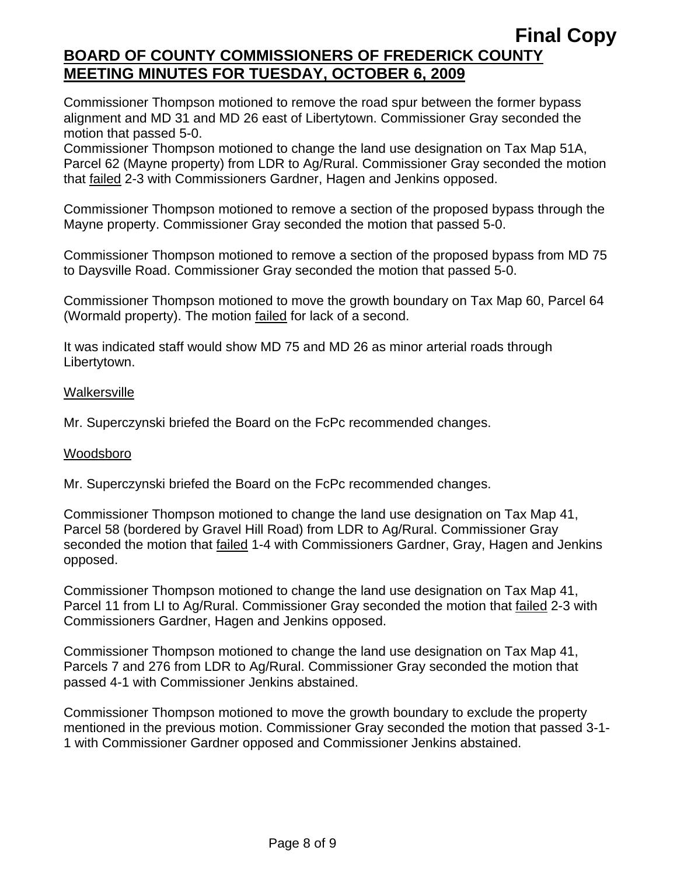Commissioner Thompson motioned to remove the road spur between the former bypass alignment and MD 31 and MD 26 east of Libertytown. Commissioner Gray seconded the motion that passed 5-0.

Commissioner Thompson motioned to change the land use designation on Tax Map 51A, Parcel 62 (Mayne property) from LDR to Ag/Rural. Commissioner Gray seconded the motion that failed 2-3 with Commissioners Gardner, Hagen and Jenkins opposed.

Commissioner Thompson motioned to remove a section of the proposed bypass through the Mayne property. Commissioner Gray seconded the motion that passed 5-0.

Commissioner Thompson motioned to remove a section of the proposed bypass from MD 75 to Daysville Road. Commissioner Gray seconded the motion that passed 5-0.

Commissioner Thompson motioned to move the growth boundary on Tax Map 60, Parcel 64 (Wormald property). The motion failed for lack of a second.

It was indicated staff would show MD 75 and MD 26 as minor arterial roads through Libertytown.

## **Walkersville**

Mr. Superczynski briefed the Board on the FcPc recommended changes.

## Woodsboro

Mr. Superczynski briefed the Board on the FcPc recommended changes.

Commissioner Thompson motioned to change the land use designation on Tax Map 41, Parcel 58 (bordered by Gravel Hill Road) from LDR to Ag/Rural. Commissioner Gray seconded the motion that **failed 1-4 with Commissioners Gardner**, Gray, Hagen and Jenkins opposed.

Commissioner Thompson motioned to change the land use designation on Tax Map 41, Parcel 11 from LI to Ag/Rural. Commissioner Gray seconded the motion that failed 2-3 with Commissioners Gardner, Hagen and Jenkins opposed.

Commissioner Thompson motioned to change the land use designation on Tax Map 41, Parcels 7 and 276 from LDR to Ag/Rural. Commissioner Gray seconded the motion that passed 4-1 with Commissioner Jenkins abstained.

Commissioner Thompson motioned to move the growth boundary to exclude the property mentioned in the previous motion. Commissioner Gray seconded the motion that passed 3-1- 1 with Commissioner Gardner opposed and Commissioner Jenkins abstained.